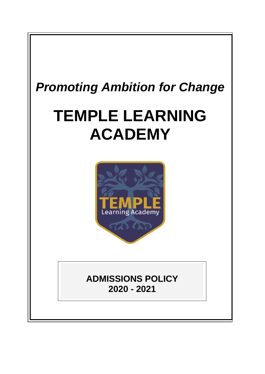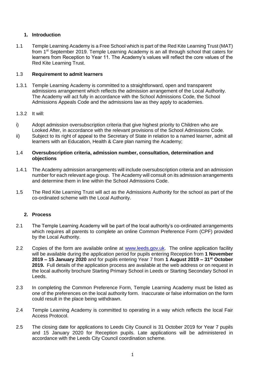# **1. Introduction**

1.1 Temple Learning Academy is a Free School which is part of the Red Kite Learning Trust (MAT) from 1st September 2019. Temple Learning Academy is an all through school that caters for learners from Reception to Year 11. The Academy's values will reflect the core values of the Red Kite Learning Trust.

# 1.3 **Requirement to admit learners**

- 1.3.1 Temple Learning Academy is committed to a straightforward, open and transparent admissions arrangement which reflects the admission arrangement of the Local Authority. The Academy will act fully in accordance with the School Admissions Code, the School Admissions Appeals Code and the admissions law as they apply to academies.
- 1.3.2 It will:
- i) Adopt admission oversubscription criteria that give highest priority to Children who are Looked After, in accordance with the relevant provisions of the School Admissions Code.
- ii) Subject to its right of appeal to the Secretary of State in relation to a named learner, admit all learners with an Education, Health & Care plan naming the Academy;

#### 1.4 **Oversubscription criteria, admission number, consultation, determination and objections**

- 1.4.1 The Academy admission arrangements will include oversubscription criteria and an admission number for each relevant age group. The Academy will consult on its admission arrangements and determine them in line within the School Admissions Code.
- 1.5 The Red Kite Learning Trust will act as the Admissions Authority for the school as part of the co-ordinated scheme with the Local Authority.

## **2. Process**

- 2.1 The Temple Learning Academy will be part of the local authority's co-ordinated arrangements which requires all parents to complete an online Common Preference Form (CPF) provided by the Local Authority.
- 2.2 Copies of the form are available online at [www.leeds.gov.uk.](http://www.leeds.gov.uk/) The online application facility will be available during the application period for pupils entering Reception from **1 November 2019 – 15 January 2020** and for pupils entering Year 7 from **1 August 2019 – 31st October 2019.** Full details of the application process are available at the web address or on request in the local authority brochure Starting Primary School in Leeds or Starting Secondary School in Leeds.
- 2.3 In completing the Common Preference Form, Temple Learning Academy must be listed as one of the preferences on the local authority form. Inaccurate or false information on the form could result in the place being withdrawn.
- 2.4 Temple Learning Academy is committed to operating in a way which reflects the local Fair Access Protocol.
- 2.5 The closing date for applications to Leeds City Council is 31 October 2019 for Year 7 pupils and 15 January 2020 for Reception pupils. Late applications will be administered in accordance with the Leeds City Council coordination scheme.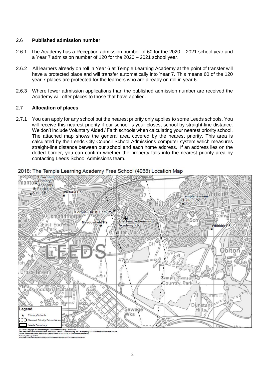#### 2.6 **Published admission number**

- 2.6.1 The Academy has a Reception admission number of 60 for the 2020 2021 school year and a Year 7 admission number of 120 for the 2020 – 2021 school year.
- 2.6.2 All learners already on roll in Year 6 at Temple Learning Academy at the point of transfer will have a protected place and will transfer automatically into Year 7. This means 60 of the 120 year 7 places are protected for the learners who are already on roll in year 6.
- 2.6.3 Where fewer admission applications than the published admission number are received the Academy will offer places to those that have applied.

## 2.7 **Allocation of places**

2.7.1 You can apply for any school but the nearest priority only applies to some Leeds schools. You will receive this nearest priority if our school is your closest school by straight-line distance. We don't include Voluntary Aided / Faith schools when calculating your nearest priority school. The attached map shows the general area covered by the nearest priority. This area is calculated by the Leeds City Council School Admissions computer system which measures straight-line distance between our school and each home address. If an address lies on the dotted border, you can confirm whether the property falls into the nearest priority area by contacting Leeds School Admissions team.



2018: The Temple Learning Academy Free School (4068) Location Map

m Copyright and database right 2018 Ordnance Survey <mark>L</mark>A100019567<br>p is an output from the School Admissions Service Cul-off Mapping To d by LCC Children's Perf gis zono Granance Gancy Britadonada<br>di Admissions Service Cut-off Mapping Tool De<br>hs Service Team on 0113 224 3433 for further in ap is an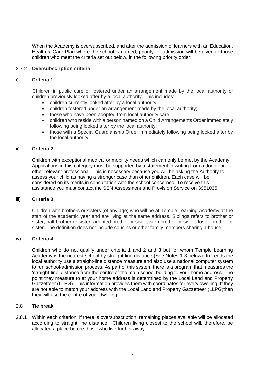When the Academy is oversubscribed, and after the admission of learners with an Education, Health & Care Plan where the school is named, priority for admission will be given to those children who meet the criteria set out below, in the following priority order:

## 2.7.2 **Oversubscription criteria**

#### i) **Criteria 1**

Children in public care or fostered under an arrangement made by the local authority or children previously looked after by a local authority. This includes:

- children currently looked after by a local authority;
- children fostered under an arrangement made by the local authority;
- those who have been adopted from local authority care;
- children who reside with a person named on a Child Arrangements Order immediately following being looked after by the local authority;
- those with a Special Guardianship Order immediately following being looked after by the local authority.

#### ii) **Criteria 2**

Children with exceptional medical or mobility needs which can only be met by the Academy. Applications in this category must be supported by a statement in writing from a doctor or other relevant professional. This is necessary because you will be asking the Authority to assess your child as having a stronger case than other children. Each case will be considered on its merits in consultation with the school concerned. To receive this assistance you must contact the SEN Assessment and Provision Service on 3951035.

#### iii) **Criteria 3**

Children with brothers or sisters (of any age) who will be at Temple Learning Academy at the start of the academic year and are living at the same address. Siblings refers to brother or sister, half brother or sister, adopted brother or sister, step brother or sister, foster brother or sister. The definition does not include cousins or other family members sharing a house.

## iv) **Criteria 4**

Children who do not qualify under criteria 1 and 2 and 3 but for whom Temple Learning Academy is the nearest school by straight line distance (See Notes 1-3 below). In Leeds the local authority use a straight-line distance measure and also use a national computer system to run school-admission process. As part of this system there is a program that measures the 'straight-line' distance from the centre of the main school building to your home address. The point they measure to at your home address is determined by the Local Land and Property Gazzetteer (LLPG). This information provides them with coordinates for every dwelling. If they are not able to match your address with the Local Land and Property Gazzetteer (LLPG)then they will use the centre of your dwelling.

## 2.8 **Tie break**

2.8.1 Within each criterion, if there is oversubscription, remaining places available will be allocated according to straight line distance. Children living closest to the school will, therefore, be allocated a place before those who live further away.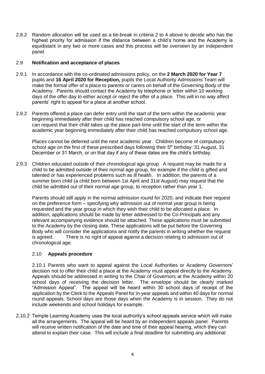2.8.2 Random allocation will be used as a tie-break in criteria 2 to 4 above to decide who has the highest priority for admission if the distance between a child's home and the Academy is equidistant in any two or more cases and this process will be overseen by an independent panel.

# 2.9 **Notification and acceptance of places**

- 2.9.1 In accordance with the co-ordinated admissions policy, on the **2 March 2020 for Year 7** pupils and **16 April 2020 for Reception,** pupils the Local Authority Admissions Team will make the formal offer of a place to parents or carers on behalf of the Governing Body of the Academy. Parents should contact the Academy by telephone or letter within 10 working days of the offer day to either accept or reject the offer of a place. This will in no way affect parents' right to appeal for a place at another school.
- 2.9.2 Parents offered a place can defer entry until the start of the term within the academic year beginning immediately after their child has reached compulsory school age, or can request that their child takes up the place part-time until the start of the term within the academic year beginning immediately after their child has reached compulsory school age.

Places cannot be deferred until the next academic year. Children become of compulsory school age on the first of these prescribed days following their  $5<sup>th</sup>$  birthday: 31 August, 31 December or 31 March, or on that day if any of these dates are the child's birthday.

2.9.3 Children educated outside of their chronological age group A request may be made for a child to be admitted outside of their normal age group, for example if the child is gifted and talented or has experienced problems such as ill health. In addition, the parents of a summer born child (a child born between 1st April and 31st August) may request that the child be admitted out of their normal age group, to reception rather than year 1.

Parents should still apply in the normal admission round for 2020, and indicate their request on the preference form – specifying why admission out of normal year group is being requested and the year group in which they wish their child to be allocated a place. In addition, applications should be made by letter addressed to the Co-Principals and any relevant accompanying evidence should be attached. These applications must be submitted to the Academy by the closing date. These applications will be put before the Governing Body who will consider the applications and notify the parents in writing whether the request is agreed. There is no right of appeal against a decision relating to admission out of chronological age.

# 2.10 **Appeals procedure**

2.10.1 Parents who want to appeal against the Local Authorities or Academy Governors' decision not to offer their child a place at the Academy must appeal directly to the Academy. Appeals should be addressed in writing to the Chair of Governors at the Academy within 20 school days of receiving the decision letter. The envelope should be clearly marked "Admission Appeal". The appeal will be heard within 30 school days of receipt of the application by the Clerk to the Appeals Panel for in-year appeals and within 40 days for normal round appeals. School days are those days when the Academy is in session. They do not include weekends and school holidays for example.

2.10.2 Temple Learning Academy uses the local authority's school appeals service which will make all the arrangements. The appeal will be heard by an independent appeals panel. Parents will receive written notification of the date and time of their appeal hearing, which they can attend to explain their case. This will include a final deadline for submitting any additional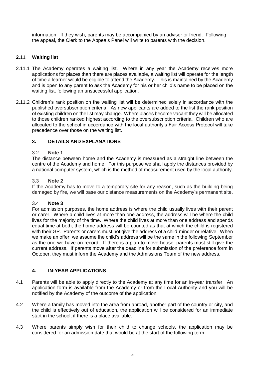information. If they wish, parents may be accompanied by an adviser or friend. Following the appeal, the Clerk to the Appeals Panel will write to parents with the decision.

# **2**.11 **Waiting list**

- 2.11.1 The Academy operates a waiting list. Where in any year the Academy receives more applications for places than there are places available, a waiting list will operate for the length of time a learner would be eligible to attend the Academy. This is maintained by the Academy and is open to any parent to ask the Academy for his or her child's name to be placed on the waiting list, following an unsuccessful application.
- 2.11.2 Children's rank position on the waiting list will be determined solely in accordance with the published oversubscription criteria. As new applicants are added to the list the rank position of existing children on the list may change. Where places become vacant they will be allocated to those children ranked highest according to the oversubscription criteria. Children who are allocated to the school in accordance with the local authority's Fair Access Protocol will take precedence over those on the waiting list.

## **3. DETAILS AND EXPLANATIONS**

#### 3.2 **Note 1**

The distance between home and the Academy is measured as a straight line between the centre of the Academy and home. For this purpose we shall apply the distances provided by a national computer system, which is the method of measurement used by the local authority.

#### 3.3 **Note 2**

If the Academy has to move to a temporary site for any reason, such as the building being damaged by fire, we will base our distance measurements on the Academy's permanent site.

#### 3.4 **Note 3**

For admission purposes, the home address is where the child usually lives with their parent or carer. Where a child lives at more than one address, the address will be where the child lives for the majority of the time. Where the child lives at more than one address and spends equal time at both, the home address will be counted as that at which the child is registered with their GP. Parents or carers must not give the address of a child-minder or relative. When we make an offer, we assume the child's address will be the same in the following September as the one we have on record. If there is a plan to move house, parents must still give the current address. If parents move after the deadline for submission of the preference form in October, they must inform the Academy and the Admissions Team of the new address.

## **4. IN-YEAR APPLICATIONS**

- 4.1 Parents will be able to apply directly to the Academy at any time for an in-year transfer. An application form is available from the Academy or from the Local Authority and you will be notified by the Academy of the outcome of the application.
- 4.2 Where a family has moved into the area from abroad, another part of the country or city, and the child is effectively out of education, the application will be considered for an immediate start in the school, if there is a place available.
- 4.3 Where parents simply wish for their child to change schools, the application may be considered for an admission date that would be at the start of the following term.